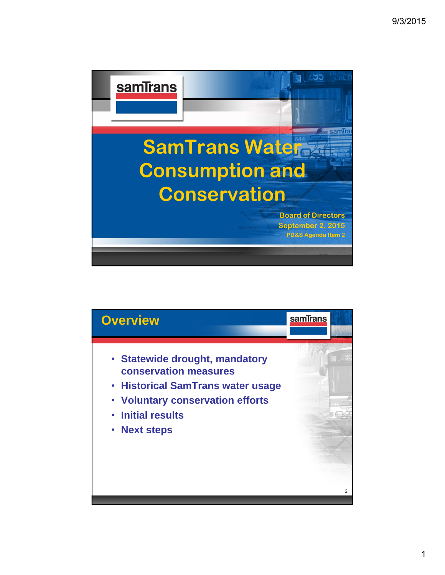

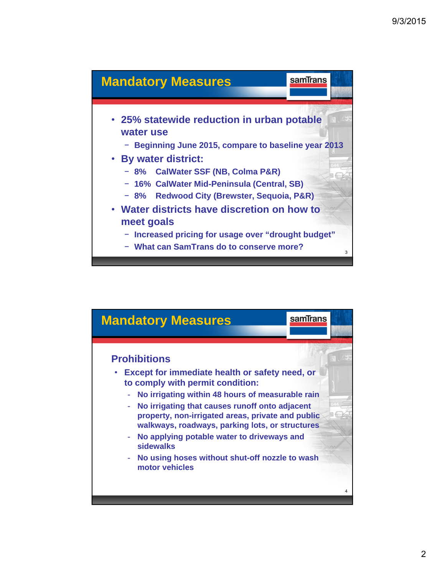

![](_page_1_Figure_2.jpeg)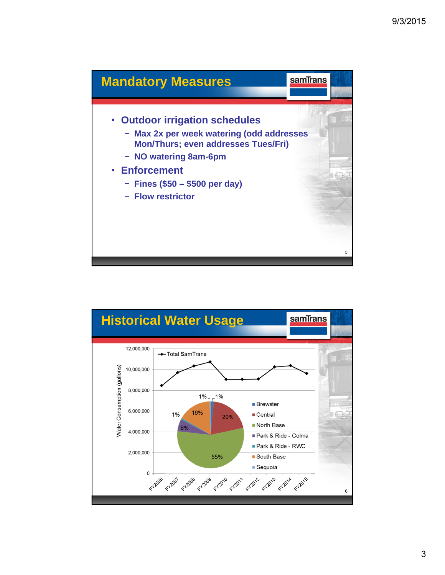![](_page_2_Figure_1.jpeg)

![](_page_2_Figure_2.jpeg)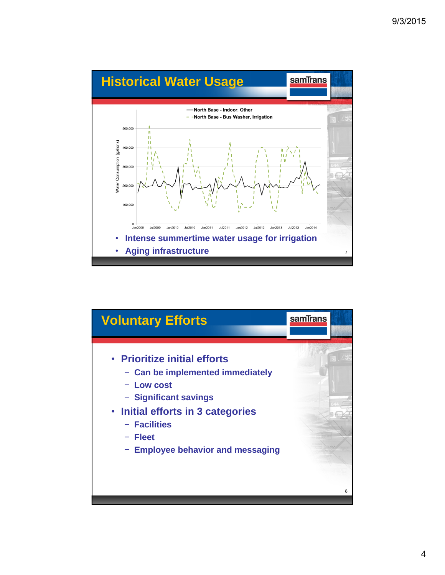![](_page_3_Figure_1.jpeg)

![](_page_3_Figure_2.jpeg)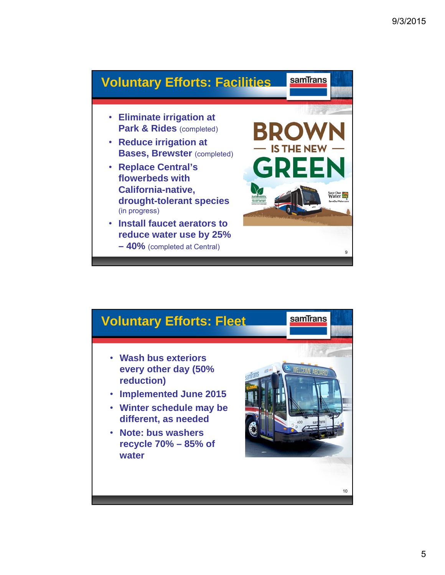![](_page_4_Picture_1.jpeg)

![](_page_4_Figure_2.jpeg)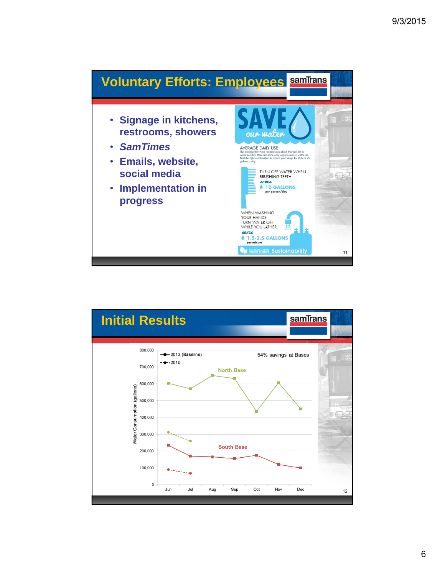![](_page_5_Figure_1.jpeg)

![](_page_5_Figure_2.jpeg)